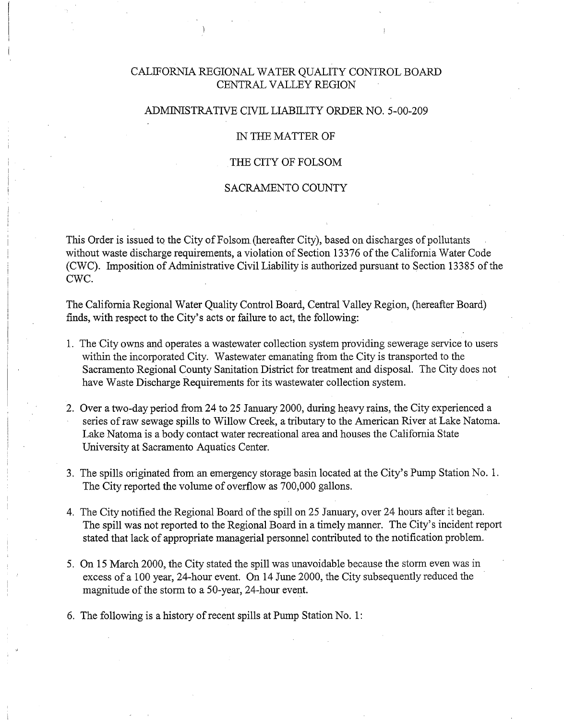# CALIFORNIA REGIONAL WATER QUALITY CONTROL BOARD CENTRAL VALLEY REGION

### ADMINISTRATIVE CIVIL LIABILITY ORDER NO. 5-00-209

#### IN THE MATTER OF

### THE CITY OF FOLSOM

#### SACRAMENTO COUNTY

This Order is issued to the City of Folsom (hereafter City), based on discharges of pollutants without waste discharge requirements, a violation of Section 13376 of the California Water Code (CWC). Imposition of Administrative Civil Liability is authorized pursuant to Section 13385 of the CWC.

The California Regional Water Quality Control Board, Central Valley Region, (hereafter Board) finds, with respect to the City's acts or failure to act, the following:

- 1. The City owns and operates a wastewater collection system providing sewerage service to users within the incorporated City. Wastewater emanating from the City is transported to the Sacramento Regional County Sanitation District for treatment and disposal. The City does not have Waste Discharge Requirements for its wastewater collection system.
- 2. Over a two-day period from 24 to 25 January 2000, during heavy rains, the City experienced a series of raw sewage spills to Willow Creek, a tributary to the American River at Lake Natoma. Lake Natoma is a body contact water recreational area and houses the California State University at Sacramento Aquatics Center.
- 3. The spills originated from an emergency storage basin located at the City's Pump Station No. 1. The City reported the volume of overflow as 700,000 gallons.
- 4. The City notified the Regional Board of the spill on 25 January, over 24 hours after it began. The spill was not reported to the Regional Board in a timely manner. The City's incident report stated that lack of appropriate managerial personnel contributed to the notification problem.
- 5. On 15 March 2000, the City stated the spill was unavoidable because the storm even was in excess of a 100 year, 24-hour event. On 14 June 2000, the City subsequently reduced the magnitude of the storm to a 50-year, 24-hour event.
- 6. The following is a history of recent spills at Pump Station No. 1: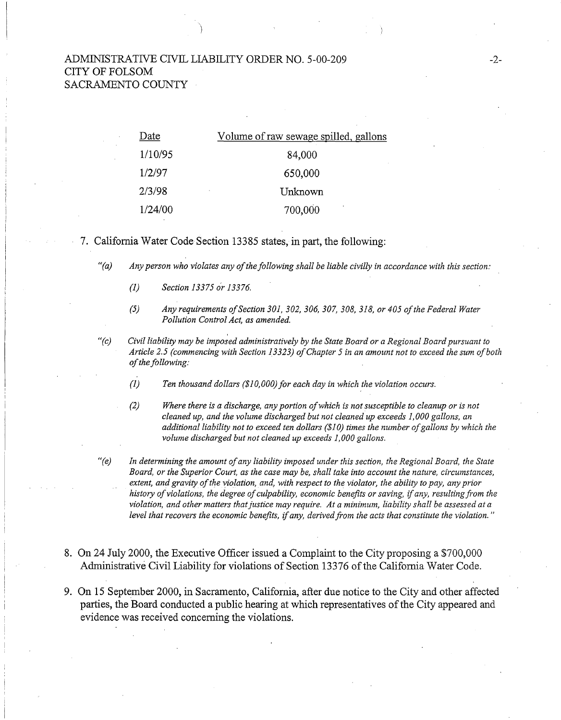## ADMINISTRATIVE CIVIL LIABILITY ORDER NO. 5-00-209 CITY OF FOLSOM SACRAMENTO COUNTY

)

| Date    | Volume of raw sewage spilled, gallons |
|---------|---------------------------------------|
| 1/10/95 | 84,000                                |
| 1/2/97  | 650,000                               |
| 2/3/98  | Unknown<br>×                          |
| 1/24/00 | ٠<br>700,000                          |

7. California Water Code Section 13385 states, in part, the following:

*"(a) Any person who violates any of the following shall be liable civilly in accordance with this section:* 

- *(1) Section 13375 o'r 13376.*
- *(5) Any requirements of Section 301, 302, 306, 307, 308, 318, or 405 of the Federal Water Pollution Control Act, as amended.*
- *"(c) Civil liability may be imposed administratively by the State Board or a Regional Board pursuant to Article 2.5 (commencing with Section 13323) of Chapter 5 in an amount not to exceed the sum of both of the following:* 
	- *(1) Ten thousand dollars (\$1 0,000) for each day in which the violation occurs.*
	- *(2) Where there is a discharge, any portion of which is not susceptible to cleanup or is not cleaned up, and the volume discharged but not cleaned up exceeds 1,000 gallons, an additional liability not to exceed ten dollars (\$1 0) times the number of gallons by which the volume discharged but not cleaned up exceeds 1,000 gallons.*
- *(e)* In determining the amount of any liability imposed under this section, the Regional Board, the State  $\theta$ *Board, or the Superior Court, as the case may be, shall take into account the nature, circumstances, extent, and gravity of the violation, and, with respect to the violator, the ability to pay, any prior history of violations, the degree of culpability, economic benefits or saving,* if *any, resulting from the violation, and other matters that justice may require. At a minimum, liability shall be assessed at a level that recovers the economic benefits,* if *any, derived from the acts that constitute the violation.* "
- 8. On 24 July 2000, the Executive Officer issued a Complaint to the City proposing a \$700,000 Administrative Civil Liability for violations of Section 13376 of the California Water Code.
- 9. On 15 September 2000, in Sacramento, California, after due notice to the City and other affected parties, the Board conducted a public hearing at which representatives of the City appeared and evidence was received concerning the violations.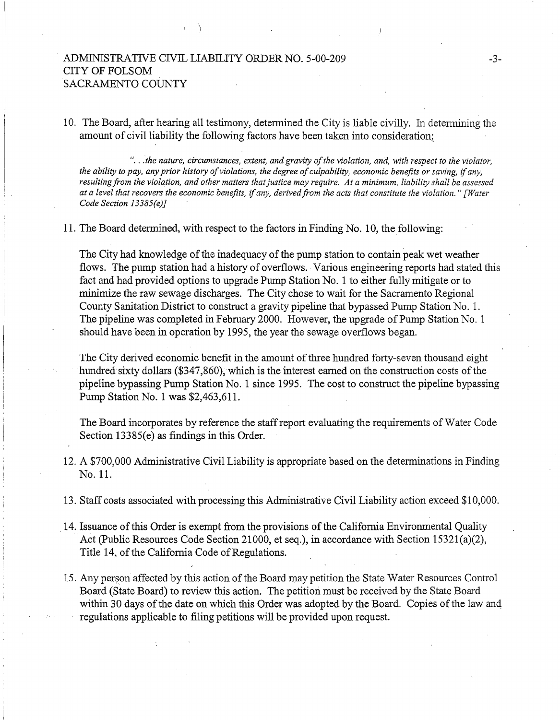## ADMINISTRATIVE CIVIL LIABILITY ORDER NO. 5-00-209 CITY OF FOLSOM SACRAMENTO COUNTY

\

10. The Board, after hearing all testimony, determined the City is liable civilly. In determining the amount of civil liability the following factors have been taken into consideration:

" .. *. the nature, circumstances, extent, and gravity of the violation, and, with respect to the violator, the ability to pay, any prior history of violations, the degree of culpability, economic benefits or saving,* if *any, resulting from the violation, and other matters that justice may require. At a minimum, liability shall be assessed at a level that recovers the economic benefits,* if *any, derived from the acts that constitute the violation." [Water Code Section 13385(e)]* 

11. The Board determined, with respect to the factors in Finding No. 10, the following:

The City had knowledge of the inadequacy of the pump station to contain peak wet weather flows. The pump station had a history of overflows. Various engineering reports had stated this fact and had provided options to upgrade Pump Station No. 1 to either fully mitigate or to minimize the raw sewage discharges. The City chose to wait for the Sacramento Regional County Sanitation District to construct a gravity pipeline that bypassed Pump Station No. 1. The pipeline was completed in February 2000. However, the upgrade of Pump Station No. 1 should have been in operation by 1995, the year the sewage overflows began.

The City derived economic benefit in the amount of three hundred forty-seven thousand eight hundred sixty dollars (\$347,860); which is the interest earned on the construction costs of the pipeline bypassing Pump Station No. 1 since 1995. The cost to construct the pipeline bypassing Pump Station No. 1 was \$2,463,611.

The Board incorporates by reference the staff report evaluating the requirements of Water Code Section 13385(e) as findings in this Order.

- 12. A \$700,000 Administrative Civil Liability is appropriate based on the determinations in Finding No. 11.
- 13. Staff costs associated with processing this Administrative Civil Liability action exceed \$10,000.
- 14. Issuance of this Order is exempt from the provisions of the California Environmental Quality . Act (Public Resources Code Section 21000, et seq.), in accordance with Section 15321(a)(2), Title 14, of the California Code of Regulations.
- 15. Any person affected by this action of the Board may petition the State Water Resources Control Board (State Board) to review this action. The petition must be received by the State Board within 30 days of the date on which this Order was adopted by the Board. Copies of the law and regulations applicable to filing petitions will be provided upon request.

-3-